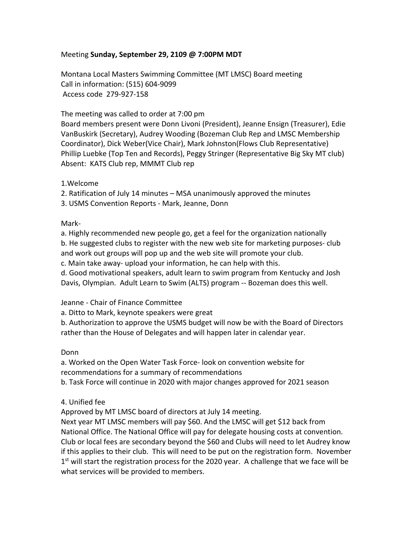# Meeting **Sunday, September 29, 2109 @ 7:00PM MDT**

Montana Local Masters Swimming Committee (MT LMSC) Board meeting Call in information: (515) 604-9099 Access code 279-927-158

The meeting was called to order at 7:00 pm

Board members present were Donn Livoni (President), Jeanne Ensign (Treasurer), Edie VanBuskirk (Secretary), Audrey Wooding (Bozeman Club Rep and LMSC Membership Coordinator), Dick Weber(Vice Chair), Mark Johnston(Flows Club Representative) Phillip Luebke (Top Ten and Records), Peggy Stringer (Representative Big Sky MT club) Absent: KATS Club rep, MMMT Club rep

1.Welcome

2. Ratification of July 14 minutes – MSA unanimously approved the minutes

3. USMS Convention Reports - Mark, Jeanne, Donn

Mark-

a. Highly recommended new people go, get a feel for the organization nationally b. He suggested clubs to register with the new web site for marketing purposes- club and work out groups will pop up and the web site will promote your club.

c. Main take away- upload your information, he can help with this.

d. Good motivational speakers, adult learn to swim program from Kentucky and Josh Davis, Olympian. Adult Learn to Swim (ALTS) program -- Bozeman does this well.

### Jeanne - Chair of Finance Committee

a. Ditto to Mark, keynote speakers were great

b. Authorization to approve the USMS budget will now be with the Board of Directors rather than the House of Delegates and will happen later in calendar year.

Donn

a. Worked on the Open Water Task Force- look on convention website for recommendations for a summary of recommendations

b. Task Force will continue in 2020 with major changes approved for 2021 season

4. Unified fee

Approved by MT LMSC board of directors at July 14 meeting.

Next year MT LMSC members will pay \$60. And the LMSC will get \$12 back from National Office. The National Office will pay for delegate housing costs at convention. Club or local fees are secondary beyond the \$60 and Clubs will need to let Audrey know if this applies to their club. This will need to be put on the registration form. November  $1<sup>st</sup>$  will start the registration process for the 2020 year. A challenge that we face will be what services will be provided to members.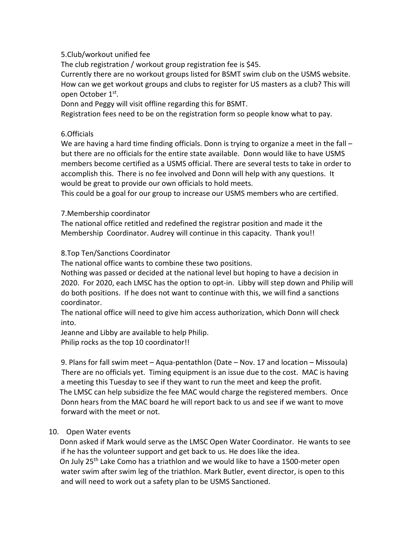# 5.Club/workout unified fee

The club registration / workout group registration fee is \$45.

Currently there are no workout groups listed for BSMT swim club on the USMS website. How can we get workout groups and clubs to register for US masters as a club? This will open October 1st.

Donn and Peggy will visit offline regarding this for BSMT.

Registration fees need to be on the registration form so people know what to pay.

# 6.Officials

We are having a hard time finding officials. Donn is trying to organize a meet in the fall – but there are no officials for the entire state available. Donn would like to have USMS members become certified as a USMS official. There are several tests to take in order to accomplish this. There is no fee involved and Donn will help with any questions. It would be great to provide our own officials to hold meets.

This could be a goal for our group to increase our USMS members who are certified.

## 7.Membership coordinator

The national office retitled and redefined the registrar position and made it the Membership Coordinator. Audrey will continue in this capacity. Thank you!!

## 8.Top Ten/Sanctions Coordinator

The national office wants to combine these two positions.

Nothing was passed or decided at the national level but hoping to have a decision in 2020. For 2020, each LMSC has the option to opt-in. Libby will step down and Philip will do both positions. If he does not want to continue with this, we will find a sanctions coordinator.

The national office will need to give him access authorization, which Donn will check into.

Jeanne and Libby are available to help Philip.

Philip rocks as the top 10 coordinator!!

9. Plans for fall swim meet – Aqua-pentathlon (Date – Nov. 17 and location – Missoula) There are no officials yet. Timing equipment is an issue due to the cost. MAC is having a meeting this Tuesday to see if they want to run the meet and keep the profit. The LMSC can help subsidize the fee MAC would charge the registered members. Once Donn hears from the MAC board he will report back to us and see if we want to move forward with the meet or not.

# 10. Open Water events

 Donn asked if Mark would serve as the LMSC Open Water Coordinator. He wants to see if he has the volunteer support and get back to us. He does like the idea. On July 25<sup>th</sup> Lake Como has a triathlon and we would like to have a 1500-meter open water swim after swim leg of the triathlon. Mark Butler, event director, is open to this and will need to work out a safety plan to be USMS Sanctioned.